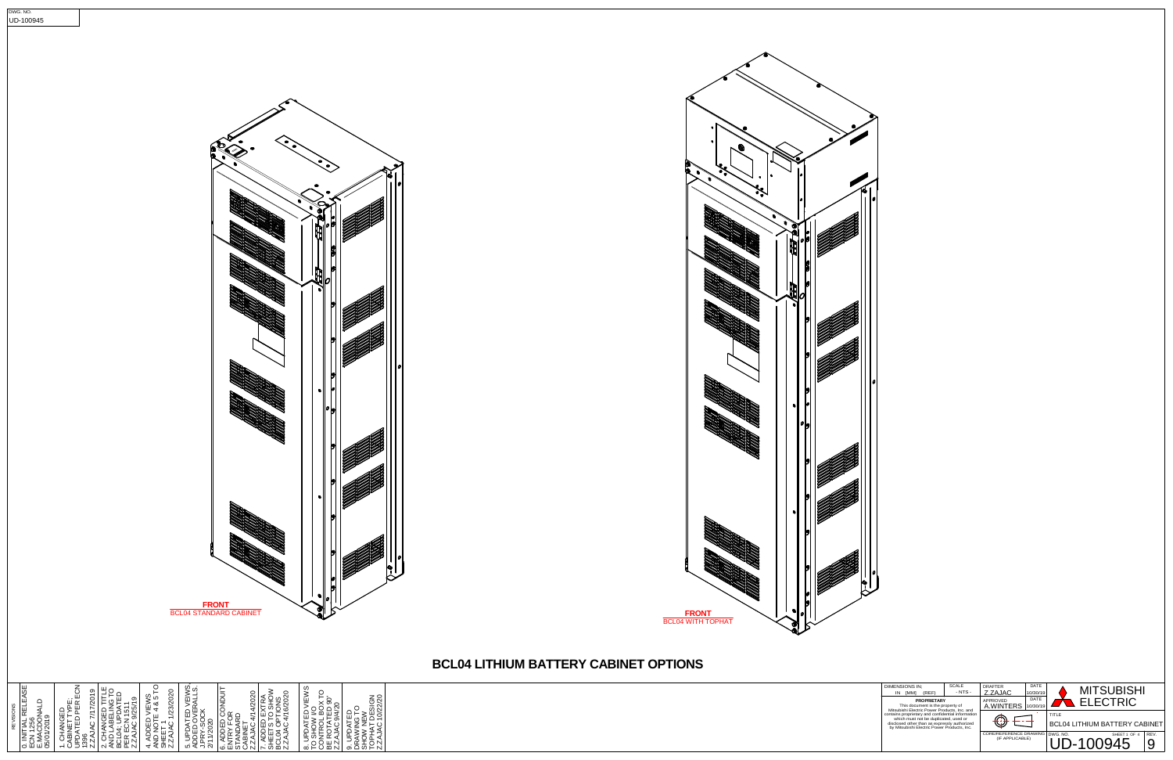| <b>DIMENSIONS IN:</b><br>(REF)<br><b>IMMI</b><br>IN                                                                                                                                       | SCALE<br>$- NTS -$ | DRAFTER<br>Z.ZAJAC                        | DATE<br>10/30/19 |          | <b>MITSUBISHI</b>                    |              |      |
|-------------------------------------------------------------------------------------------------------------------------------------------------------------------------------------------|--------------------|-------------------------------------------|------------------|----------|--------------------------------------|--------------|------|
| <b>PROPRIETARY</b><br>This document is the property of<br>Mitsubishi Electric Power Products, Inc. and                                                                                    |                    | APPROVED<br>A.WINTERS                     | DATE<br>10/30/19 |          | <b>ELECTRIC</b>                      |              |      |
| contains proprietary and confidential information<br>which must not be duplicated, used or<br>disclosed other than as expressly authorized<br>by Mitsubishi Electric Power Products, Inc. |                    |                                           |                  | TITI F   | <b>BCL04 LITHIUM BATTERY CABINET</b> |              |      |
|                                                                                                                                                                                           |                    | CORE/REFERENCE DRAWING<br>(IF APPLICABLE) |                  | DWG, NO. |                                      | SHEET 1 OF 4 | RFV. |



ಾ ಕ

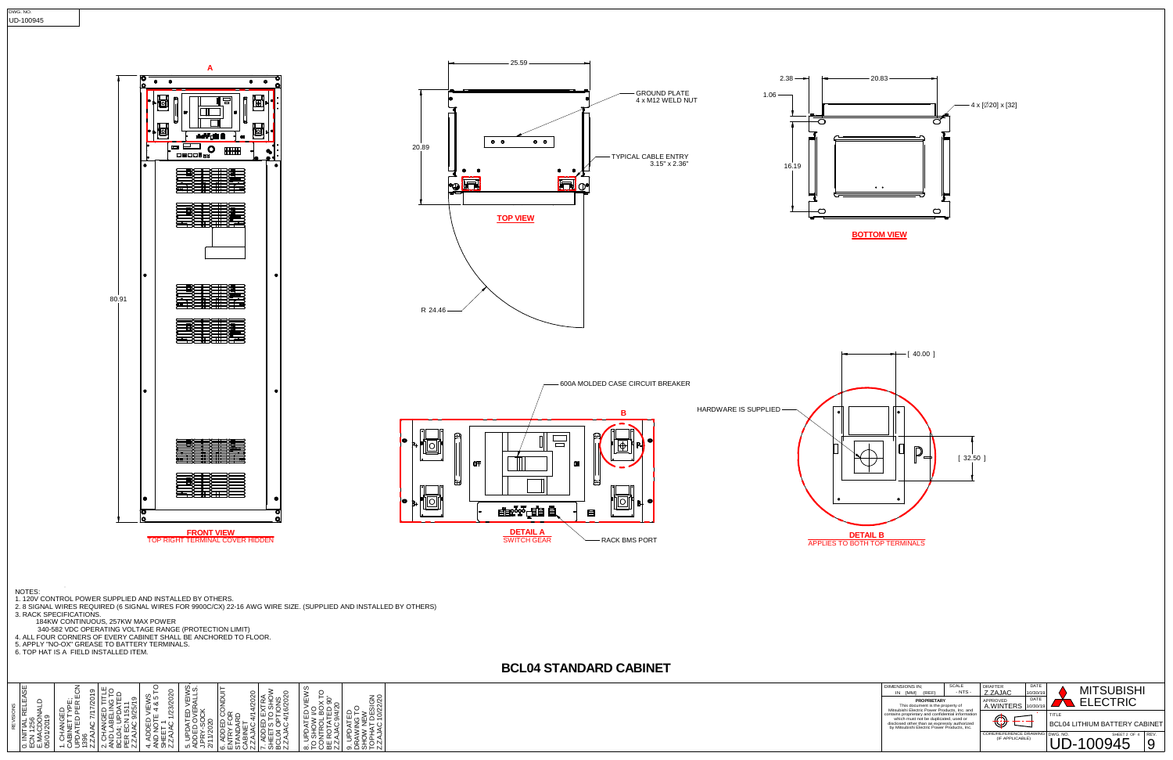| <b>DIMENSIONS IN:</b><br>(REF)<br>[MM]<br>IN                                                                                                                                              | <b>SCALE</b><br>$- NTS -$ | DRAFTER<br>Z.ZAJAC                        | DATE<br>10/30/19 |          | <b>MITSUBISHI</b>                    |      |
|-------------------------------------------------------------------------------------------------------------------------------------------------------------------------------------------|---------------------------|-------------------------------------------|------------------|----------|--------------------------------------|------|
| <b>PROPRIETARY</b><br>This document is the property of<br>Mitsubishi Electric Power Products, Inc. and                                                                                    |                           | APPROVED<br>A.WINTERS                     | DATE<br>10/30/19 |          | <b>ELECTRIC</b>                      |      |
| contains proprietary and confidential information<br>which must not be duplicated, used or<br>disclosed other than as expressly authorized<br>by Mitsubishi Electric Power Products, Inc. |                           |                                           |                  | TITI F   | <b>BCL04 LITHIUM BATTERY CABINET</b> |      |
|                                                                                                                                                                                           |                           | CORE/REFERENCE DRAWING<br>(IF APPLICABLE) |                  | DWG, NO. | SHEET 2 OF 4                         | RFV. |

| ∣မ္ဟ<br>◅<br>١щ<br>REVISIONS<br>'⊞<br>Š<br>ၜ<br>256<br>05/01/201<br>য়≾<br>ρς<br>Α<br>$\overline{ }$<br>. —<br>ΪZ<br>čΣ<br>⊞<br>$\circ$ | EC<br>ග<br>୪<br>щ<br>ର୍<br>뿐<br>PER<br>–<br>Q<br>Ξ<br>⊢<br>⋖<br>25/<br>5<br>N<br>ANGED<br>≘<br>Ğ<br>Ξ<br>좋는<br><b>ABEL</b><br>$\overline{\phantom{0}}$<br>ଚ<br>TED<br>N<br>ΞÕ<br><b>SML</b><br>SN<br>₹¥<br>ġ.<br><b>CABIN</b><br>UPDA<br>Τ<br>396<br>QNA<br>t<br>⋖<br>$\alpha$<br>◅<br>ō<br><b>BCL</b><br>Ñ<br>N<br>푼<br>$\overline{\phantom{0}}$<br>N.<br>$\mathbf{\tilde{N}}$<br>$\overline{ }$<br>$\overline{\phantom{0}}$ | 1/23/2020<br>ഗ<br>ഗ<br>တ<br>∞ర<br>VIEV<br>4<br>ш<br>≏<br>5<br>$\overline{ }$<br>Q<br>DEI<br>АJА<br>ż<br>Ш<br>$\circ$<br>N<br>–<br>하신<br>ā<br>4 | ഗ<br>U.<br>₹<br>щ<br><b>OVER</b><br>-SOCK<br>品<br>1/2020<br>⊢<br>UPDA <sup>-</sup><br>ADDED<br>بلا<br>Ê<br>$\overline{z}$<br>نما<br>$\rightarrow$<br>ন | 0<br>4/14/202<br>ADDED CONDI<br><sup>5</sup> ៥ ខ្ពុំ<br>⊢<br>ပ္ခ<br><b>ANDA</b><br>屶<br>≻<br>≃<br>ă<br>◅<br>与<br>ნშ<br>딴<br>N<br>có | /202<br>SNC<br>ž<br>≃<br>ᢦ<br>ଡ<br>οĔ<br>÷<br>ш<br>694<br>No<br><b>ADDEI</b><br>┕<br>◅<br>$\mathfrak{A}$<br>₩<br>◅<br>ಸ<br>N<br>こあ<br>ఠ<br>$\sim$ | ഗ<br>Ē<br>ВÖХ<br>တ<br>$\circ$<br>$\bar{\mathsf{N}}$<br>$\Omega$<br>$\geq$<br>ш<br>ą<br>ш<br>ಹ '<br>⊢<br>ਠ<br>⊲<br>.<br>ЗНО∕<br><b>JPDA</b><br>$\tilde{r}$<br>5<br>∸<br><b>CONT</b><br>$\alpha$<br>€<br>N<br>$\overline{C}$<br>볾<br>N.<br>∞ | <b>JESIGN</b><br>0/22/20<br>읍<br>≧∺<br>⊢<br>…<br>$\frac{0}{2}$<br>$\overline{ }$<br>z<br>å<br>⊢<br>⋚<br>⋖<br>Ğ<br>><br>⇒<br>ぅ<br>$\begin{array}{c}\n\text{X} \\ \text{X} \\ \text{Y} \\ \text{Y} \\ \text{Y} \\ \text{Y} \\ \text{Y} \\ \text{Y} \\ \text{Y} \\ \text{Y} \\ \text{Y} \\ \text{Y} \\ \text{Y} \\ \text{Y} \\ \text{Y} \\ \text{Y} \\ \text{Y} \\ \text{Y} \\ \text{Y} \\ \text{Y} \\ \text{Y} \\ \text{Y} \\ \text{Y} \\ \text{Y} \\ \text{Y} \\ \text{Y} \\ \text{Y} \\ \text{Y} \\ \text{Y} \\ \text{Y} \\ \text{Y} \\ \text{Y} \\ \text{Y} \\ \text{Y} \\ \text{Y} \\ \text$<br>9. UI<br>DRA<br>N<br>N |
|-----------------------------------------------------------------------------------------------------------------------------------------|-------------------------------------------------------------------------------------------------------------------------------------------------------------------------------------------------------------------------------------------------------------------------------------------------------------------------------------------------------------------------------------------------------------------------------|------------------------------------------------------------------------------------------------------------------------------------------------|--------------------------------------------------------------------------------------------------------------------------------------------------------|-------------------------------------------------------------------------------------------------------------------------------------|---------------------------------------------------------------------------------------------------------------------------------------------------|--------------------------------------------------------------------------------------------------------------------------------------------------------------------------------------------------------------------------------------------|--------------------------------------------------------------------------------------------------------------------------------------------------------------------------------------------------------------------------------------------------------------------------------------------------------------------------------------------------------------------------------------------------------------------------------------------------------------------------------------------------------------------------------------------------------------------------------------------------------------------------|

## **BCL04 STANDARD CABINET**

NOTES:<br>1. 120V CONTROL POWER SUPPLIED AND INSTALLED BY OTHERS.<br>2. 8 SIGNAL WIRES REQUIRED (6 SIGNAL WIRES FOR 9900C/CX) 22-16 AWG WIRE SIZE. (SUPPLIED AND INSTALLED BY OTHERS)<br>3. RACK SPECIFICATIONS.<br>184KW CONTINUOUS, 257K













3.15" x 2.36"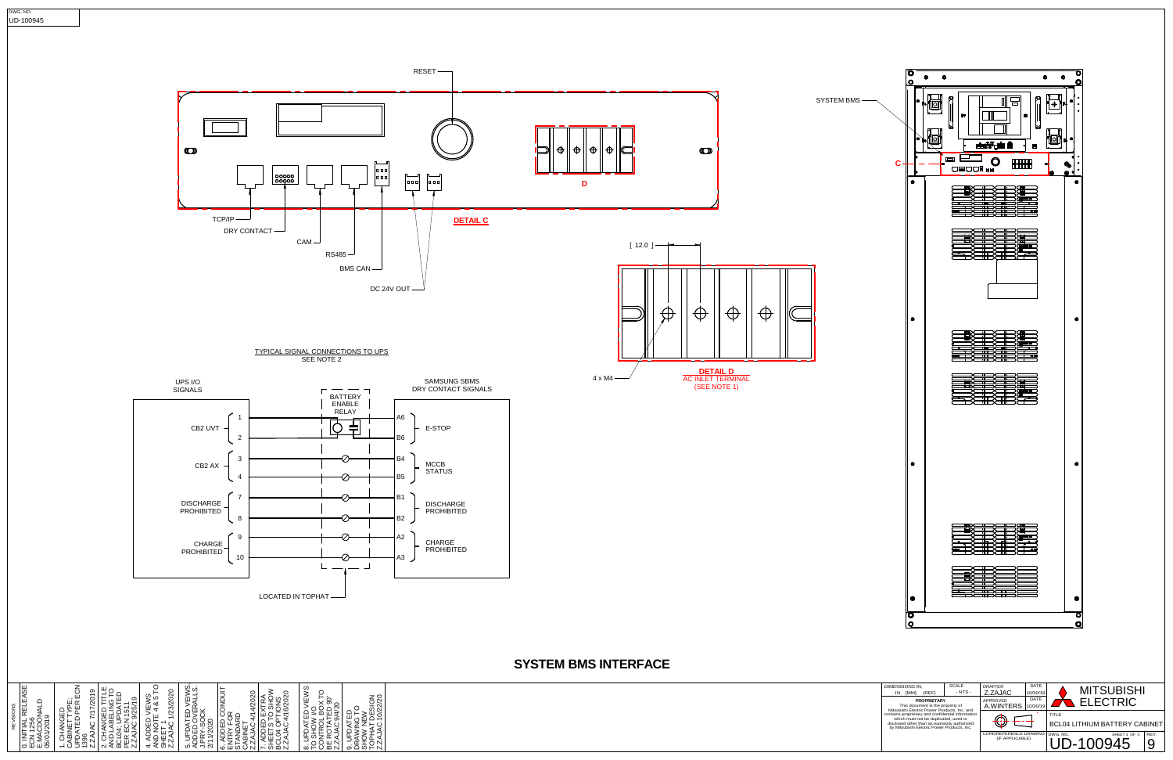

| <b>RELEASE</b><br>0. INITIAL RELE <i>I</i><br>ECN 1256<br>E.MACDONALD<br>05/01/2019<br>REVISIONS | TYPE;<br>PER ECN<br>7/17/2019<br>1. CHANGED<br>CABINET TYP<br>UPDATED PE<br>AJAC<br>$\frac{1396}{2.74}$ | ٩۳<br>2. CHANGED TITLE<br>AND LABELING TO<br>BCL04: UPDATED<br>PER ECN 1511<br>ZZAJAC 9/25/19 | 1/23/2020<br>. ADDED VIEWS<br>ND NOTE 4 & 5 T<br>HEET 1<br>.ZAJAC 1/23/2020 | 5. UPDATED VEIWS,<br>ADDED OVERALLS.<br>J.PRY-SOCK<br>2/11/2020 | 6. ADDED CONDUIT<br>ENTRY FOR<br>STANDARD<br>CABINET<br>Z.ZAJAC 4/14/2020 | 7. ADDED EXTRA<br>SHEETS TO SHOW<br>BCL04 OPTIONS<br>Z.ZAJAC 4/16/2020 | ၯ<br>VIEW:<br>8. UPDATED VIEW<br>TO SHOW I/O<br>CONTROL BOX TC<br>BE ROTATED 90°<br>Z.ZAJAC 9/4/20 | 9. UPDATED<br>DRAWING TO<br>SHOW NEW<br>TOPHAT DESIGN<br>ZZAJAC 10/22/20 |  |
|--------------------------------------------------------------------------------------------------|---------------------------------------------------------------------------------------------------------|-----------------------------------------------------------------------------------------------|-----------------------------------------------------------------------------|-----------------------------------------------------------------|---------------------------------------------------------------------------|------------------------------------------------------------------------|----------------------------------------------------------------------------------------------------|--------------------------------------------------------------------------|--|
|                                                                                                  | N1                                                                                                      |                                                                                               | さあぶ<br>4                                                                    |                                                                 |                                                                           |                                                                        |                                                                                                    |                                                                          |  |



## **SYSTEM BMS INTERFACE**



LOCATED IN TOPHAT

 $\Box$ 

 $\Box$